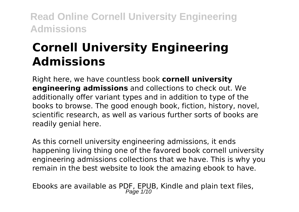# **Cornell University Engineering Admissions**

Right here, we have countless book **cornell university engineering admissions** and collections to check out. We additionally offer variant types and in addition to type of the books to browse. The good enough book, fiction, history, novel, scientific research, as well as various further sorts of books are readily genial here.

As this cornell university engineering admissions, it ends happening living thing one of the favored book cornell university engineering admissions collections that we have. This is why you remain in the best website to look the amazing ebook to have.

Ebooks are available as PDF, EPUB, Kindle and plain text files, Page 1/10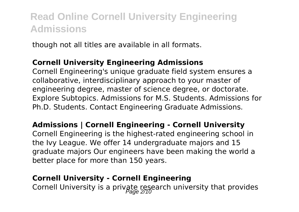though not all titles are available in all formats.

#### **Cornell University Engineering Admissions**

Cornell Engineering's unique graduate field system ensures a collaborative, interdisciplinary approach to your master of engineering degree, master of science degree, or doctorate. Explore Subtopics. Admissions for M.S. Students. Admissions for Ph.D. Students. Contact Engineering Graduate Admissions.

#### **Admissions | Cornell Engineering - Cornell University**

Cornell Engineering is the highest-rated engineering school in the Ivy League. We offer 14 undergraduate majors and 15 graduate majors Our engineers have been making the world a better place for more than 150 years.

#### **Cornell University - Cornell Engineering**

Cornell University is a private research university that provides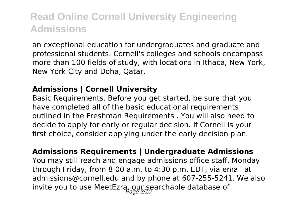an exceptional education for undergraduates and graduate and professional students. Cornell's colleges and schools encompass more than 100 fields of study, with locations in Ithaca, New York, New York City and Doha, Qatar.

#### **Admissions | Cornell University**

Basic Requirements. Before you get started, be sure that you have completed all of the basic educational requirements outlined in the Freshman Requirements . You will also need to decide to apply for early or regular decision. If Cornell is your first choice, consider applying under the early decision plan.

**Admissions Requirements | Undergraduate Admissions** You may still reach and engage admissions office staff, Monday through Friday, from 8:00 a.m. to 4:30 p.m. EDT, via email at admissions@cornell.edu and by phone at 607-255-5241. We also invite you to use MeetEzra, our searchable database of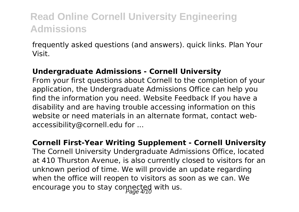frequently asked questions (and answers). quick links. Plan Your Visit.

#### **Undergraduate Admissions - Cornell University**

From your first questions about Cornell to the completion of your application, the Undergraduate Admissions Office can help you find the information you need. Website Feedback If you have a disability and are having trouble accessing information on this website or need materials in an alternate format, contact webaccessibility@cornell.edu for ...

**Cornell First-Year Writing Supplement - Cornell University** The Cornell University Undergraduate Admissions Office, located at 410 Thurston Avenue, is also currently closed to visitors for an unknown period of time. We will provide an update regarding when the office will reopen to visitors as soon as we can. We encourage you to stay connected with us.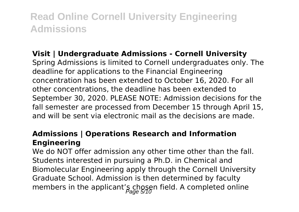#### **Visit | Undergraduate Admissions - Cornell University**

Spring Admissions is limited to Cornell undergraduates only. The deadline for applications to the Financial Engineering concentration has been extended to October 16, 2020. For all other concentrations, the deadline has been extended to September 30, 2020. PLEASE NOTE: Admission decisions for the fall semester are processed from December 15 through April 15, and will be sent via electronic mail as the decisions are made.

#### **Admissions | Operations Research and Information Engineering**

We do NOT offer admission any other time other than the fall. Students interested in pursuing a Ph.D. in Chemical and Biomolecular Engineering apply through the Cornell University Graduate School. Admission is then determined by faculty members in the applicant's chosen field. A completed online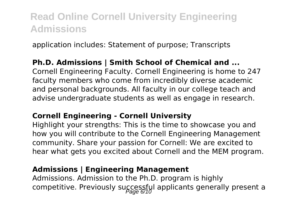application includes: Statement of purpose; Transcripts

#### **Ph.D. Admissions | Smith School of Chemical and ...**

Cornell Engineering Faculty. Cornell Engineering is home to 247 faculty members who come from incredibly diverse academic and personal backgrounds. All faculty in our college teach and advise undergraduate students as well as engage in research.

#### **Cornell Engineering - Cornell University**

Highlight your strengths: This is the time to showcase you and how you will contribute to the Cornell Engineering Management community. Share your passion for Cornell: We are excited to hear what gets you excited about Cornell and the MEM program.

#### **Admissions | Engineering Management**

Admissions. Admission to the Ph.D. program is highly competitive. Previously successfyl applicants generally present a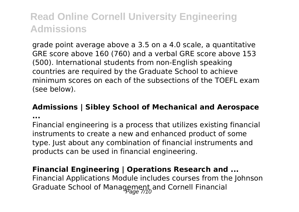grade point average above a 3.5 on a 4.0 scale, a quantitative GRE score above 160 (760) and a verbal GRE score above 153 (500). International students from non-English speaking countries are required by the Graduate School to achieve minimum scores on each of the subsections of the TOEFL exam (see below).

#### **Admissions | Sibley School of Mechanical and Aerospace**

**...**

Financial engineering is a process that utilizes existing financial instruments to create a new and enhanced product of some type. Just about any combination of financial instruments and products can be used in financial engineering.

#### **Financial Engineering | Operations Research and ...**

Financial Applications Module includes courses from the Johnson Graduate School of Management and Cornell Financial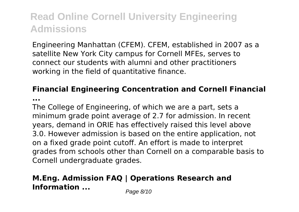Engineering Manhattan (CFEM). CFEM, established in 2007 as a satellite New York City campus for Cornell MFEs, serves to connect our students with alumni and other practitioners working in the field of quantitative finance.

### **Financial Engineering Concentration and Cornell Financial**

**...**

The College of Engineering, of which we are a part, sets a minimum grade point average of 2.7 for admission. In recent years, demand in ORIE has effectively raised this level above 3.0. However admission is based on the entire application, not on a fixed grade point cutoff. An effort is made to interpret grades from schools other than Cornell on a comparable basis to Cornell undergraduate grades.

### **M.Eng. Admission FAQ | Operations Research and Information ...** Page 8/10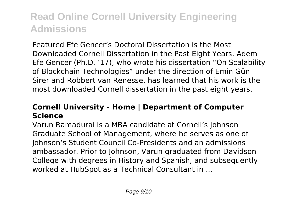Featured Efe Gencer's Doctoral Dissertation is the Most Downloaded Cornell Dissertation in the Past Eight Years. Adem Efe Gencer (Ph.D. '17), who wrote his dissertation "On Scalability of Blockchain Technologies" under the direction of Emin Gün Sirer and Robbert van Renesse, has learned that his work is the most downloaded Cornell dissertation in the past eight years.

#### **Cornell University - Home | Department of Computer Science**

Varun Ramadurai is a MBA candidate at Cornell's Johnson Graduate School of Management, where he serves as one of Johnson's Student Council Co-Presidents and an admissions ambassador. Prior to Johnson, Varun graduated from Davidson College with degrees in History and Spanish, and subsequently worked at HubSpot as a Technical Consultant in ...